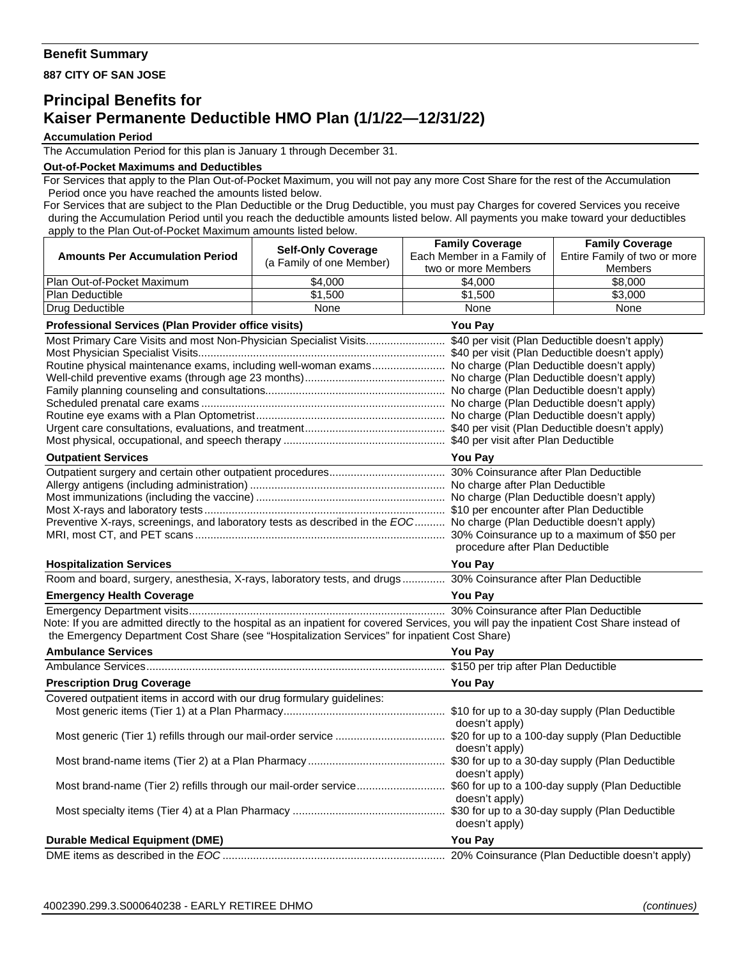## **Benefit Summary**

**887 CITY OF SAN JOSE** 

# **Principal Benefits for Kaiser Permanente Deductible HMO Plan (1/1/22—12/31/22)**

#### **Accumulation Period**

The Accumulation Period for this plan is January 1 through December 31.

#### **Out-of-Pocket Maximums and Deductibles**

For Services that apply to the Plan Out-of-Pocket Maximum, you will not pay any more Cost Share for the rest of the Accumulation Period once you have reached the amounts listed below.

For Services that are subject to the Plan Deductible or the Drug Deductible, you must pay Charges for covered Services you receive during the Accumulation Period until you reach the deductible amounts listed below. All payments you make toward your deductibles apply to the Plan Out-of-Pocket Maximum amounts listed below.

|                                                                                                                                           | <b>Self-Only Coverage</b>       | <b>Family Coverage</b>     | <b>Family Coverage</b>       |  |
|-------------------------------------------------------------------------------------------------------------------------------------------|---------------------------------|----------------------------|------------------------------|--|
| <b>Amounts Per Accumulation Period</b>                                                                                                    | (a Family of one Member)        | Each Member in a Family of | Entire Family of two or more |  |
|                                                                                                                                           |                                 | two or more Members        | <b>Members</b>               |  |
| Plan Out-of-Pocket Maximum                                                                                                                | \$4,000                         | \$4,000                    | \$8,000                      |  |
| Plan Deductible                                                                                                                           | \$1,500                         | \$1,500                    | \$3,000                      |  |
| Drug Deductible                                                                                                                           | None                            | None                       | None                         |  |
| <b>Professional Services (Plan Provider office visits)</b><br>You Pay                                                                     |                                 |                            |                              |  |
| Most Primary Care Visits and most Non-Physician Specialist Visits \$40 per visit (Plan Deductible doesn't apply)                          |                                 |                            |                              |  |
| Routine physical maintenance exams, including well-woman exams No charge (Plan Deductible doesn't apply)                                  |                                 |                            |                              |  |
|                                                                                                                                           |                                 |                            |                              |  |
|                                                                                                                                           |                                 |                            |                              |  |
|                                                                                                                                           |                                 |                            |                              |  |
|                                                                                                                                           |                                 |                            |                              |  |
|                                                                                                                                           |                                 |                            |                              |  |
|                                                                                                                                           |                                 |                            |                              |  |
| <b>Outpatient Services</b>                                                                                                                | <b>You Pay</b>                  |                            |                              |  |
|                                                                                                                                           |                                 |                            |                              |  |
|                                                                                                                                           |                                 |                            |                              |  |
|                                                                                                                                           |                                 |                            |                              |  |
| Preventive X-rays, screenings, and laboratory tests as described in the EOC No charge (Plan Deductible doesn't apply)                     |                                 |                            |                              |  |
|                                                                                                                                           |                                 |                            |                              |  |
|                                                                                                                                           | procedure after Plan Deductible |                            |                              |  |
| <b>Hospitalization Services</b>                                                                                                           | <b>You Pav</b>                  |                            |                              |  |
| Room and board, surgery, anesthesia, X-rays, laboratory tests, and drugs 30% Coinsurance after Plan Deductible                            |                                 |                            |                              |  |
| <b>Emergency Health Coverage</b>                                                                                                          |                                 | <b>You Pay</b>             |                              |  |
|                                                                                                                                           |                                 |                            |                              |  |
| Note: If you are admitted directly to the hospital as an inpatient for covered Services, you will pay the inpatient Cost Share instead of |                                 |                            |                              |  |
| the Emergency Department Cost Share (see "Hospitalization Services" for inpatient Cost Share)                                             |                                 |                            |                              |  |
| <b>Ambulance Services</b>                                                                                                                 |                                 |                            | <b>You Pay</b>               |  |
|                                                                                                                                           |                                 |                            |                              |  |
| <b>Prescription Drug Coverage</b>                                                                                                         |                                 | <b>You Pay</b>             |                              |  |
| Covered outpatient items in accord with our drug formulary guidelines:                                                                    |                                 |                            |                              |  |
|                                                                                                                                           |                                 |                            |                              |  |
|                                                                                                                                           |                                 | doesn't apply)             |                              |  |
|                                                                                                                                           |                                 | doesn't apply)             |                              |  |
|                                                                                                                                           |                                 |                            |                              |  |
|                                                                                                                                           |                                 | doesn't apply)             |                              |  |
|                                                                                                                                           |                                 |                            |                              |  |
|                                                                                                                                           |                                 | doesn't apply)             |                              |  |
|                                                                                                                                           |                                 |                            |                              |  |
|                                                                                                                                           |                                 | doesn't apply)             |                              |  |
| <b>Durable Medical Equipment (DME)</b>                                                                                                    |                                 | <b>You Pay</b>             |                              |  |
|                                                                                                                                           |                                 |                            |                              |  |